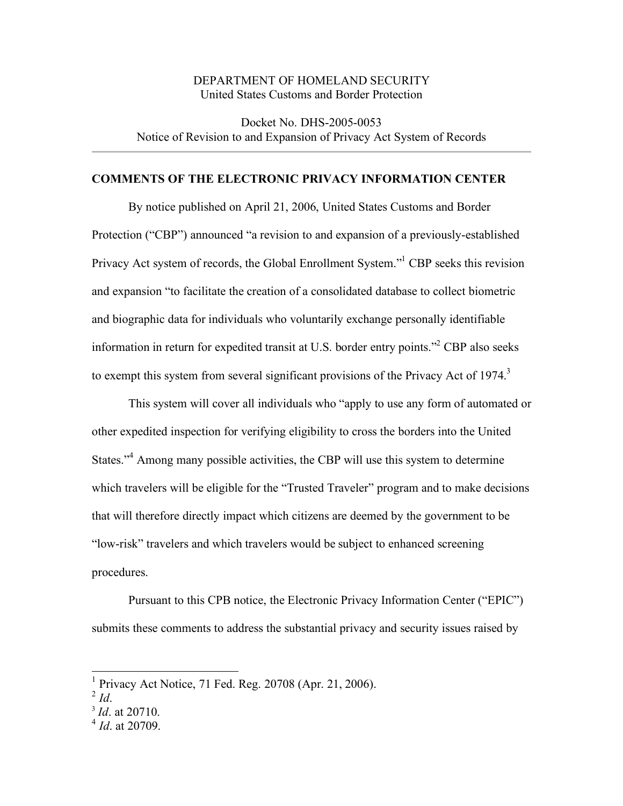### DEPARTMENT OF HOMELAND SECURITY United States Customs and Border Protection

 Docket No. DHS-2005-0053 Notice of Revision to and Expansion of Privacy Act System of Records

#### **COMMENTS OF THE ELECTRONIC PRIVACY INFORMATION CENTER**

 By notice published on April 21, 2006, United States Customs and Border Protection ("CBP") announced "a revision to and expansion of a previously-established Privacy Act system of records, the Global Enrollment System."<sup>1</sup> CBP seeks this revision and expansion "to facilitate the creation of a consolidated database to collect biometric and biographic data for individuals who voluntarily exchange personally identifiable information in return for expedited transit at U.S. border entry points."<sup>2</sup> CBP also seeks to exempt this system from several significant provisions of the Privacy Act of 1974. $3$ 

 This system will cover all individuals who "apply to use any form of automated or other expedited inspection for verifying eligibility to cross the borders into the United States."<sup>4</sup> Among many possible activities, the CBP will use this system to determine which travelers will be eligible for the "Trusted Traveler" program and to make decisions that will therefore directly impact which citizens are deemed by the government to be "low-risk" travelers and which travelers would be subject to enhanced screening procedures.

 Pursuant to this CPB notice, the Electronic Privacy Information Center ("EPIC") submits these comments to address the substantial privacy and security issues raised by

 1 Privacy Act Notice, 71 Fed. Reg. 20708 (Apr. 21, 2006). <sup>2</sup>*Id*.

 $^{2}$  Id.

 <sup>3</sup>*Id*. at 20710.

<sup>&</sup>lt;sup>3</sup> *Id*. at 20710.<br><sup>4</sup> *Id*. at 20709.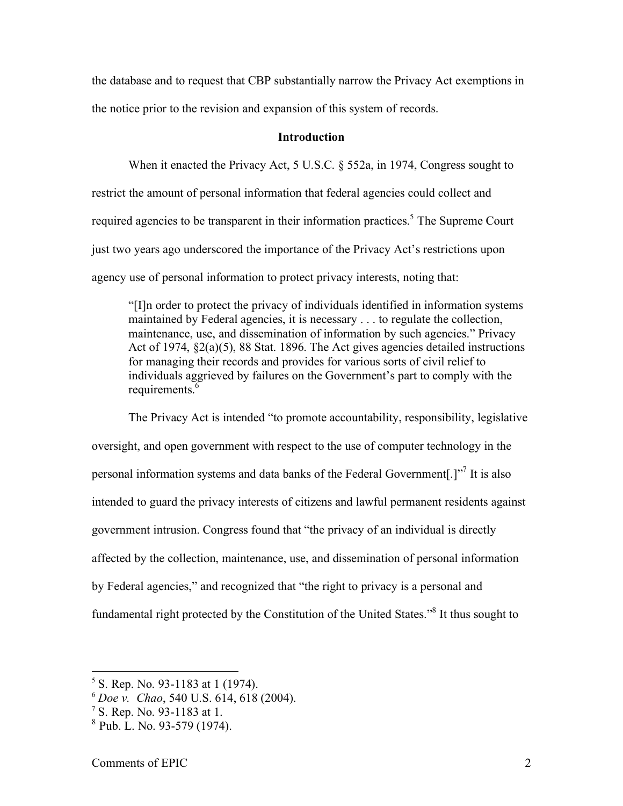the database and to request that CBP substantially narrow the Privacy Act exemptions in the notice prior to the revision and expansion of this system of records.

#### **Introduction**

 When it enacted the Privacy Act, 5 U.S.C. § 552a, in 1974, Congress sought to restrict the amount of personal information that federal agencies could collect and required agencies to be transparent in their information practices.<sup>5</sup> The Supreme Court just two years ago underscored the importance of the Privacy Act's restrictions upon agency use of personal information to protect privacy interests, noting that:

 "[I]n order to protect the privacy of individuals identified in information systems maintained by Federal agencies, it is necessary . . . to regulate the collection, maintenance, use, and dissemination of information by such agencies." Privacy Act of 1974, §2(a)(5), 88 Stat. 1896. The Act gives agencies detailed instructions for managing their records and provides for various sorts of civil relief to individuals aggrieved by failures on the Government's part to comply with the requirements.<sup>6</sup>

 The Privacy Act is intended "to promote accountability, responsibility, legislative oversight, and open government with respect to the use of computer technology in the personal information systems and data banks of the Federal Government[.]"<sup>7</sup> It is also intended to guard the privacy interests of citizens and lawful permanent residents against government intrusion. Congress found that "the privacy of an individual is directly affected by the collection, maintenance, use, and dissemination of personal information by Federal agencies," and recognized that "the right to privacy is a personal and fundamental right protected by the Constitution of the United States."<sup>8</sup> It thus sought to

 $<sup>5</sup>$  S. Rep. No. 93-1183 at 1 (1974).</sup>

 <sup>6</sup>*Doe v. Chao*, 540 U.S. 614, 618 (2004).

 7 S. Rep. No. 93-1183 at 1.

<sup>&</sup>lt;sup>7</sup> S. Rep. No. 93-1183 at 1.<br><sup>8</sup> Pub. L. No. 93-579 (1974).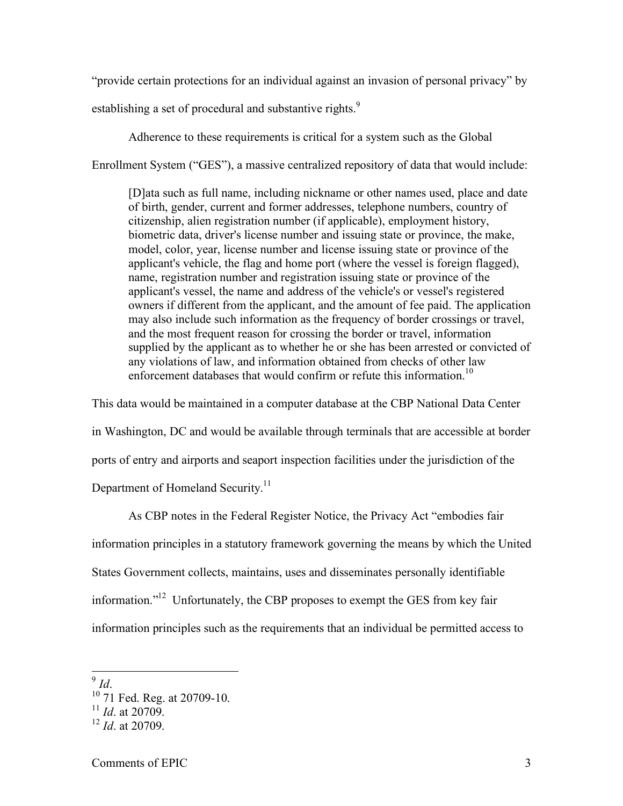"provide certain protections for an individual against an invasion of personal privacy" by

establishing a set of procedural and substantive rights. $9$ 

 Adherence to these requirements is critical for a system such as the Global Enrollment System ("GES"), a massive centralized repository of data that would include:

 [D]ata such as full name, including nickname or other names used, place and date of birth, gender, current and former addresses, telephone numbers, country of citizenship, alien registration number (if applicable), employment history, biometric data, driver's license number and issuing state or province, the make, model, color, year, license number and license issuing state or province of the applicant's vehicle, the flag and home port (where the vessel is foreign flagged), name, registration number and registration issuing state or province of the owners if different from the applicant, and the amount of fee paid. The application may also include such information as the frequency of border crossings or travel, and the most frequent reason for crossing the border or travel, information supplied by the applicant as to whether he or she has been arrested or convicted of any violations of law, and information obtained from checks of other law enforcement databases that would confirm or refute this information.<sup>10</sup> applicant's vessel, the name and address of the vehicle's or vessel's registered

 This data would be maintained in a computer database at the CBP National Data Center in Washington, DC and would be available through terminals that are accessible at border ports of entry and airports and seaport inspection facilities under the jurisdiction of the Department of Homeland Security.<sup>11</sup>

 As CBP notes in the Federal Register Notice, the Privacy Act "embodies fair information principles in a statutory framework governing the means by which the United States Government collects, maintains, uses and disseminates personally identifiable information."<sup>12</sup> Unfortunately, the CBP proposes to exempt the GES from key fair information principles such as the requirements that an individual be permitted access to

 $9$  Id.

 $^{9}$  *Id.*<br><sup>10</sup> 71 Fed. Reg. at 20709-10. <sup>10</sup> 71 Fed. Reg. at 20709-10.<br><sup>11</sup> *Id.* at 20709.

 $^{11}$  *Id.* at 20709.

<sup>&</sup>lt;sup>11</sup> *Id.* at 20709.<br><sup>12</sup> *Id.* at 20709.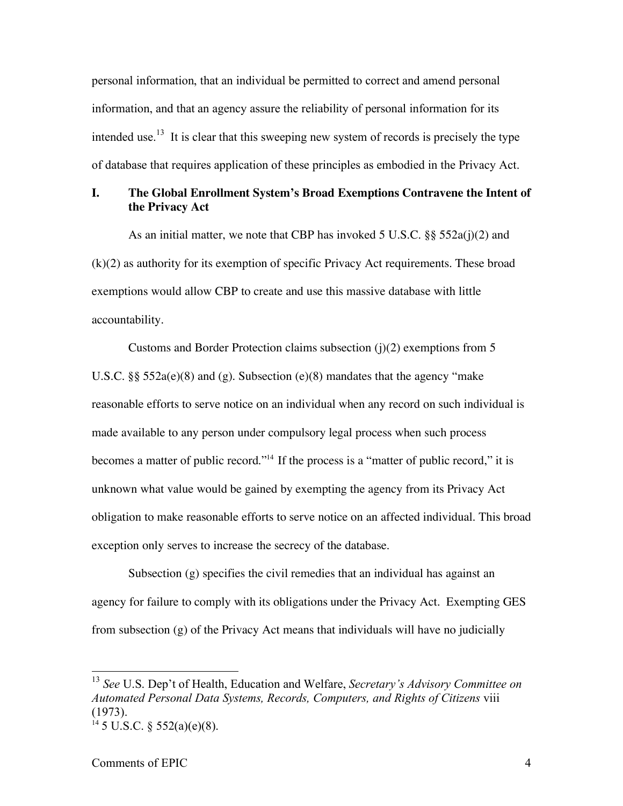personal information, that an individual be permitted to correct and amend personal information, and that an agency assure the reliability of personal information for its intended use.<sup>13</sup> It is clear that this sweeping new system of records is precisely the type of database that requires application of these principles as embodied in the Privacy Act.

## **I. The Global Enrollment System's Broad Exemptions Contravene the Intent of the Privacy Act**

 As an initial matter, we note that CBP has invoked 5 U.S.C. §§ 552a(j)(2) and (k)(2) as authority for its exemption of specific Privacy Act requirements. These broad exemptions would allow CBP to create and use this massive database with little accountability.

 Customs and Border Protection claims subsection (j)(2) exemptions from 5 U.S.C. §§ 552a(e)(8) and (g). Subsection (e)(8) mandates that the agency "make reasonable efforts to serve notice on an individual when any record on such individual is made available to any person under compulsory legal process when such process becomes a matter of public record."<sup>14</sup> If the process is a "matter of public record," it is unknown what value would be gained by exempting the agency from its Privacy Act obligation to make reasonable efforts to serve notice on an affected individual. This broad exception only serves to increase the secrecy of the database.

 Subsection (g) specifies the civil remedies that an individual has against an agency for failure to comply with its obligations under the Privacy Act. Exempting GES from subsection (g) of the Privacy Act means that individuals will have no judicially

 <sup>13</sup>*See* U.S. Dep't of Health, Education and Welfare, *Secretary's Advisory Committee on Automated Personal Data Systems, Records, Computers, and Rights of Citizens* viii (1973).

 $14\,5$  U.S.C. § 552(a)(e)(8).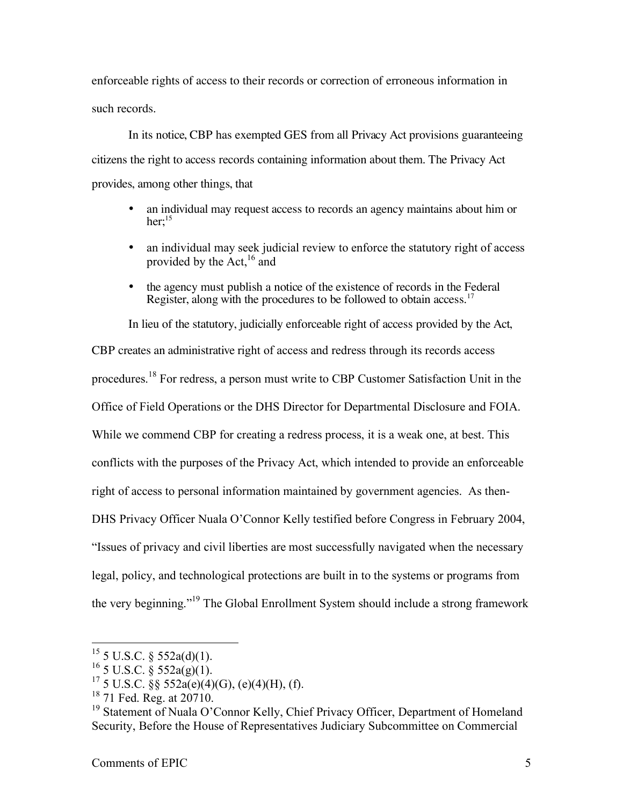enforceable rights of access to their records or correction of erroneous information in such records.

 In its notice, CBP has exempted GES from all Privacy Act provisions guaranteeing citizens the right to access records containing information about them. The Privacy Act provides, among other things, that

- • an individual may request access to records an agency maintains about him or her: $15$
- an individual may seek judicial review to enforce the statutory right of access provided by the  $Act<sub>16</sub>$  and
- the agency must publish a notice of the existence of records in the Federal Register, along with the procedures to be followed to obtain access.<sup>17</sup>

 In lieu of the statutory, judicially enforceable right of access provided by the Act, CBP creates an administrative right of access and redress through its records access procedures.<sup>18</sup> For redress, a person must write to CBP Customer Satisfaction Unit in the Office of Field Operations or the DHS Director for Departmental Disclosure and FOIA. While we commend CBP for creating a redress process, it is a weak one, at best. This conflicts with the purposes of the Privacy Act, which intended to provide an enforceable right of access to personal information maintained by government agencies. As then- DHS Privacy Officer Nuala O'Connor Kelly testified before Congress in February 2004, "Issues of privacy and civil liberties are most successfully navigated when the necessary legal, policy, and technological protections are built in to the systems or programs from the very beginning."<sup>19</sup> The Global Enrollment System should include a strong framework

<sup>&</sup>lt;sup>15</sup> 5 U.S.C. § 552a(d)(1). <sup>15</sup> 5 U.S.C. § 552a(d)(1).<br><sup>16</sup> 5 U.S.C. § 552a(g)(1).

<sup>&</sup>lt;sup>16</sup> 5 U.S.C. § 552a(g)(1).<br><sup>17</sup> 5 U.S.C. §§ 552a(e)(4)(G), (e)(4)(H), (f). <sup>17</sup> 5 U.S.C. §§ 552a(e)(4)(G), (e)(4)(H), (f).<br><sup>18</sup> 71 Fed. Reg. at 20710.

 $18$  71 Fed. Reg. at 20710.

<sup>&</sup>lt;sup>18</sup> 71 Fed. Reg. at 20710.<br><sup>19</sup> Statement of Nuala O'Connor Kelly, Chief Privacy Officer, Department of Homeland Security, Before the House of Representatives Judiciary Subcommittee on Commercial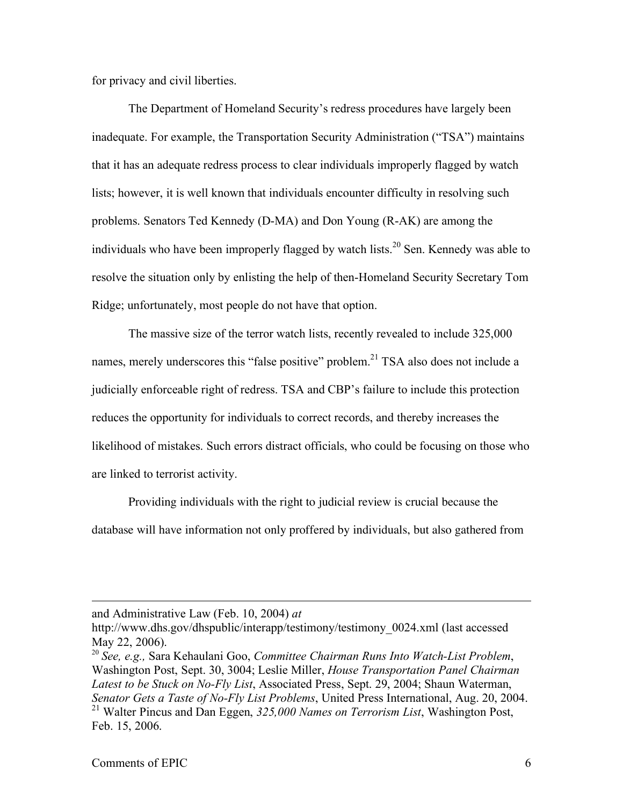for privacy and civil liberties.

 The Department of Homeland Security's redress procedures have largely been inadequate. For example, the Transportation Security Administration ("TSA") maintains that it has an adequate redress process to clear individuals improperly flagged by watch lists; however, it is well known that individuals encounter difficulty in resolving such problems. Senators Ted Kennedy (D-MA) and Don Young (R-AK) are among the individuals who have been improperly flagged by watch lists.<sup>20</sup> Sen. Kennedy was able to resolve the situation only by enlisting the help of then-Homeland Security Secretary Tom Ridge; unfortunately, most people do not have that option.

 The massive size of the terror watch lists, recently revealed to include 325,000 names, merely underscores this "false positive" problem.<sup>21</sup> TSA also does not include a judicially enforceable right of redress. TSA and CBP's failure to include this protection reduces the opportunity for individuals to correct records, and thereby increases the likelihood of mistakes. Such errors distract officials, who could be focusing on those who are linked to terrorist activity.

 Providing individuals with the right to judicial review is crucial because the database will have information not only proffered by individuals, but also gathered from

and Administrative Law (Feb. 10, 2004) *at*

<u>.</u>

 http://www.dhs.gov/dhspublic/interapp/testimony/testimony\_0024.xml (last accessed May 22, 2006).

 <sup>20</sup>*See, e.g.,* Sara Kehaulani Goo, *Committee Chairman Runs Into Watch-List Problem*, Washington Post, Sept. 30, 3004; Leslie Miller, *House Transportation Panel Chairman Latest to be Stuck on No-Fly List*, Associated Press, Sept. 29, 2004; Shaun Waterman,  *Senator Gets a Taste of No-Fly List Problems*, United Press International, Aug. 20, 2004. Senator Gets a Taste of No-Fly List Problems, United Press International, Aug. 20, 2004.<br><sup>21</sup> Walter Pincus and Dan Eggen, 325,000 Names on Terrorism List, Washington Post, Feb. 15, 2006.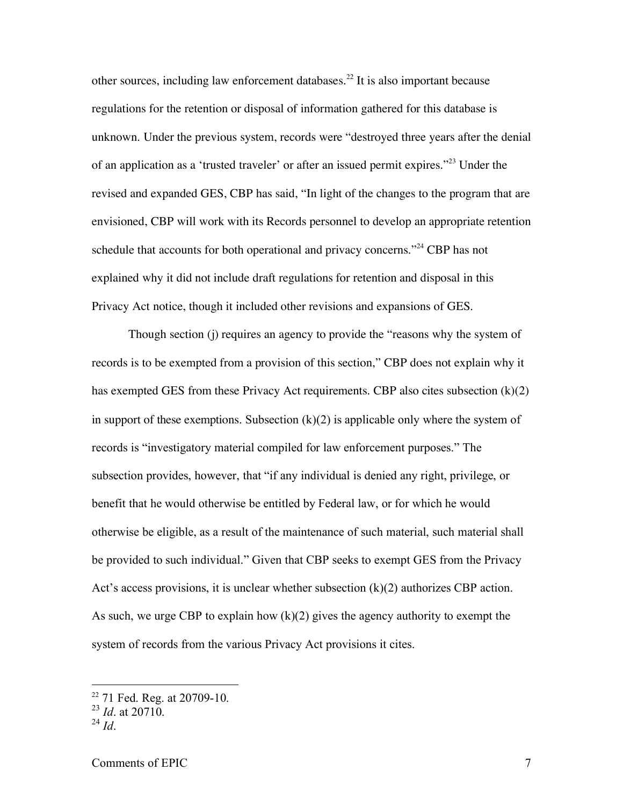other sources, including law enforcement databases.<sup>22</sup> It is also important because regulations for the retention or disposal of information gathered for this database is unknown. Under the previous system, records were "destroyed three years after the denial of an application as a 'trusted traveler' or after an issued permit expires."<sup>23</sup> Under the revised and expanded GES, CBP has said, "In light of the changes to the program that are envisioned, CBP will work with its Records personnel to develop an appropriate retention schedule that accounts for both operational and privacy concerns."<sup>24</sup> CBP has not explained why it did not include draft regulations for retention and disposal in this Privacy Act notice, though it included other revisions and expansions of GES.

 Though section (j) requires an agency to provide the "reasons why the system of records is to be exempted from a provision of this section," CBP does not explain why it has exempted GES from these Privacy Act requirements. CBP also cites subsection (k)(2) in support of these exemptions. Subsection  $(k)(2)$  is applicable only where the system of records is "investigatory material compiled for law enforcement purposes." The subsection provides, however, that "if any individual is denied any right, privilege, or benefit that he would otherwise be entitled by Federal law, or for which he would otherwise be eligible, as a result of the maintenance of such material, such material shall be provided to such individual." Given that CBP seeks to exempt GES from the Privacy Act's access provisions, it is unclear whether subsection (k)(2) authorizes CBP action. As such, we urge CBP to explain how  $(k)(2)$  gives the agency authority to exempt the system of records from the various Privacy Act provisions it cites.

 22 71 Fed. Reg. at 20709-10. <sup>23</sup>*Id*. at 20710.

<sup>&</sup>lt;sup>23</sup> *Id.* at 20710.<br><sup>24</sup> *Id.*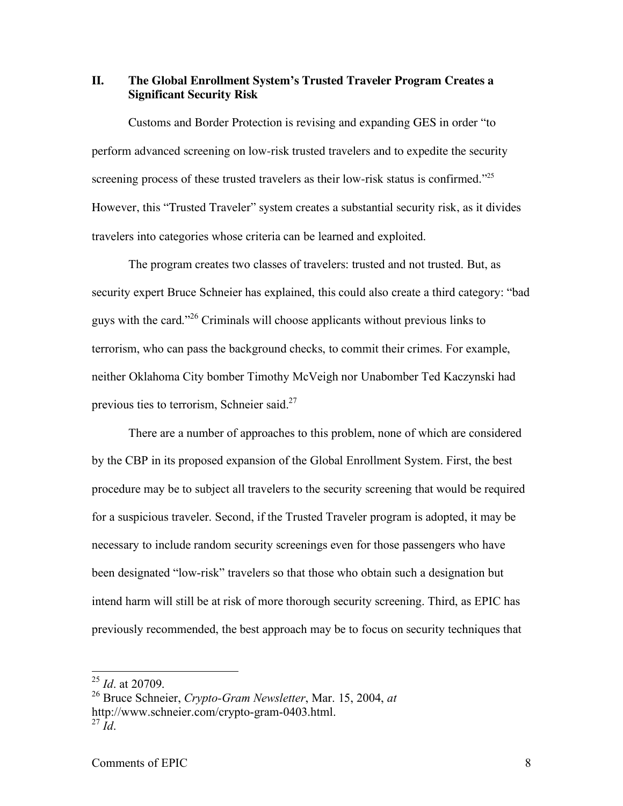## **II. The Global Enrollment System's Trusted Traveler Program Creates a Significant Security Risk**

 Customs and Border Protection is revising and expanding GES in order "to perform advanced screening on low-risk trusted travelers and to expedite the security screening process of these trusted travelers as their low-risk status is confirmed."<sup>25</sup> However, this "Trusted Traveler" system creates a substantial security risk, as it divides travelers into categories whose criteria can be learned and exploited.

 The program creates two classes of travelers: trusted and not trusted. But, as security expert Bruce Schneier has explained, this could also create a third category: "bad guys with the card."<sup>26</sup> Criminals will choose applicants without previous links to terrorism, who can pass the background checks, to commit their crimes. For example, neither Oklahoma City bomber Timothy McVeigh nor Unabomber Ted Kaczynski had previous ties to terrorism, Schneier said. $27$ 

 There are a number of approaches to this problem, none of which are considered by the CBP in its proposed expansion of the Global Enrollment System. First, the best procedure may be to subject all travelers to the security screening that would be required for a suspicious traveler. Second, if the Trusted Traveler program is adopted, it may be necessary to include random security screenings even for those passengers who have been designated "low-risk" travelers so that those who obtain such a designation but intend harm will still be at risk of more thorough security screening. Third, as EPIC has previously recommended, the best approach may be to focus on security techniques that

 <sup>25</sup>*Id*. at 20709.

 26 Bruce Schneier, *Crypto-Gram Newsletter*, Mar. 15, 2004, *at* http://www.schneier.com/crypto-gram-0403.html. <sup>27</sup>*Id*.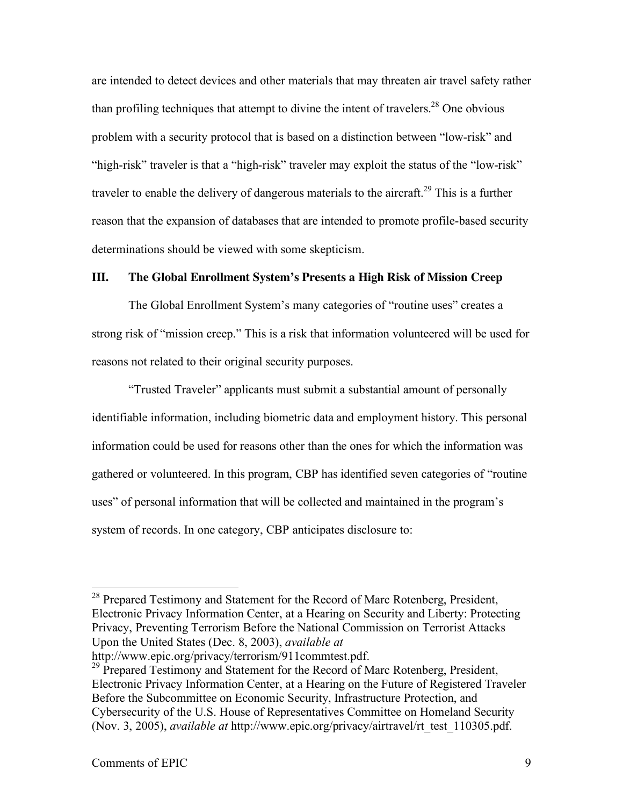are intended to detect devices and other materials that may threaten air travel safety rather than profiling techniques that attempt to divine the intent of travelers.<sup>28</sup> One obvious problem with a security protocol that is based on a distinction between "low-risk" and "high-risk" traveler is that a "high-risk" traveler may exploit the status of the "low-risk" traveler to enable the delivery of dangerous materials to the aircraft.<sup>29</sup> This is a further reason that the expansion of databases that are intended to promote profile-based security determinations should be viewed with some skepticism.

#### **III. The Global Enrollment System's Presents a High Risk of Mission Creep**

 The Global Enrollment System's many categories of "routine uses" creates a strong risk of "mission creep." This is a risk that information volunteered will be used for reasons not related to their original security purposes.

 "Trusted Traveler" applicants must submit a substantial amount of personally identifiable information, including biometric data and employment history. This personal information could be used for reasons other than the ones for which the information was gathered or volunteered. In this program, CBP has identified seven categories of "routine uses" of personal information that will be collected and maintained in the program's system of records. In one category, CBP anticipates disclosure to:

<sup>&</sup>lt;sup>28</sup> Prepared Testimony and Statement for the Record of Marc Rotenberg, President, Electronic Privacy Information Center, at a Hearing on Security and Liberty: Protecting Privacy, Preventing Terrorism Before the National Commission on Terrorist Attacks Upon the United States (Dec. 8, 2003), *available at* 

http://www.epic.org/privacy/terrorism/911commtest.pdf.<br><sup>29</sup> Prepared Testimony and Statement for the Record of Marc Rotenberg, President, Electronic Privacy Information Center, at a Hearing on the Future of Registered Traveler Before the Subcommittee on Economic Security, Infrastructure Protection, and Cybersecurity of the U.S. House of Representatives Committee on Homeland Security (Nov. 3, 2005), *available at* http://www.epic.org/privacy/airtravel/rt\_test\_110305.pdf.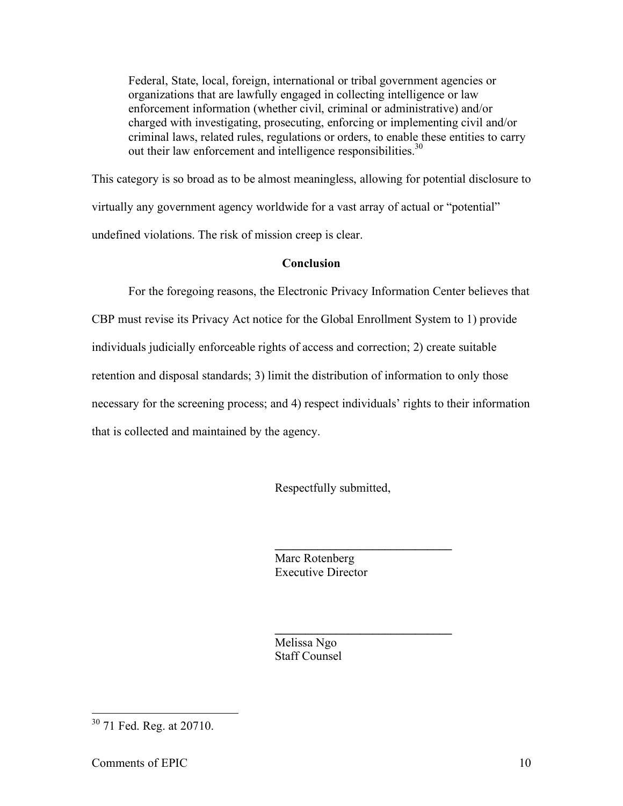Federal, State, local, foreign, international or tribal government agencies or organizations that are lawfully engaged in collecting intelligence or law enforcement information (whether civil, criminal or administrative) and/or charged with investigating, prosecuting, enforcing or implementing civil and/or criminal laws, related rules, regulations or orders, to enable these entities to carry out their law enforcement and intelligence responsibilities.<sup>30</sup>

 This category is so broad as to be almost meaningless, allowing for potential disclosure to virtually any government agency worldwide for a vast array of actual or "potential" undefined violations. The risk of mission creep is clear.

# **Conclusion**

 For the foregoing reasons, the Electronic Privacy Information Center believes that CBP must revise its Privacy Act notice for the Global Enrollment System to 1) provide individuals judicially enforceable rights of access and correction; 2) create suitable retention and disposal standards; 3) limit the distribution of information to only those necessary for the screening process; and 4) respect individuals' rights to their information

that is collected and maintained by the agency.

Respectfully submitted,

**\_\_\_\_\_\_\_\_\_\_\_\_\_\_\_\_\_\_\_\_\_\_\_\_\_\_\_\_\_** 

**\_\_\_\_\_\_\_\_\_\_\_\_\_\_\_\_\_\_\_\_\_\_\_\_\_\_\_\_\_** 

Marc Rotenberg Executive Director

Melissa Ngo Staff Counsel

<sup>&</sup>lt;sup>30</sup> 71 Fed. Reg. at 20710.